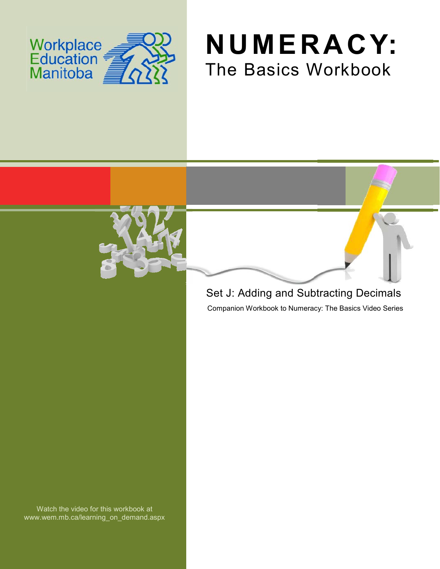





## Set J: Adding and Subtracting Decimals

Companion Workbook to Numeracy: The Basics Video Series

Watch the video for this workbook at www.wem.mb.ca/learning\_on\_demand.aspx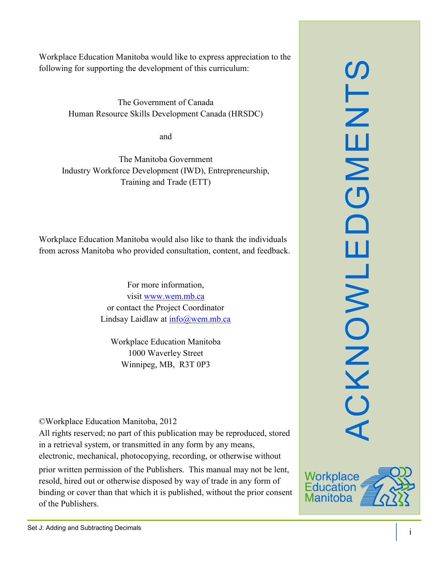Workplace Education Manitoba would like to express appreciation to the following for supporting the development of this curriculum:

> The Government of Canada Human Resource Skills Development Canada (HRSDC)

> > and

The Manitoba Government Industry Workforce Development (IWD), Entrepreneurship, Training and Trade (ETT)

Workplace Education Manitoba would also like to thank the individuals from across Manitoba who provided consultation, content, and feedback.

> For more information, visit [www.wem.mb.ca](http://www.wem.mb.ca/) or contact the Project Coordinator Lindsay Laidlaw at [info@wem.mb.ca](mailto:info@wem.mb.ca)

Workplace Education Manitoba 1000 Waverley Street Winnipeg, MB, R3T 0P3

©Workplace Education Manitoba, 2012

All rights reserved; no part of this publication may be reproduced, stored in a retrieval system, or transmitted in any form by any means, electronic, mechanical, photocopying, recording, or otherwise without

prior written permission of the Publishers. This manual may not be lent, resold, hired out or otherwise disposed by way of trade in any form of binding or cover than that which it is published, without the prior consent of the Publishers.



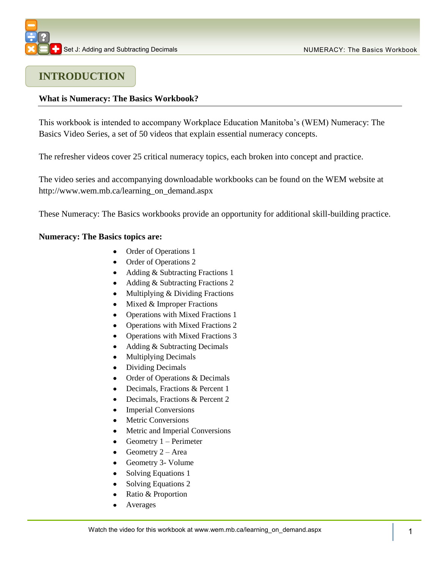### **INTRODUCTION**

#### **What is Numeracy: The Basics Workbook?**

This workbook is intended to accompany Workplace Education Manitoba's (WEM) Numeracy: The Basics Video Series, a set of 50 videos that explain essential numeracy concepts.

The refresher videos cover 25 critical numeracy topics, each broken into concept and practice.

The video series and accompanying downloadable workbooks can be found on the WEM website at [http://www.wem.mb.ca/learning\\_on\\_demand.aspx](http://www.wem.mb.ca/learning_on_demand.aspx)

These Numeracy: The Basics workbooks provide an opportunity for additional skill-building practice.

#### **Numeracy: The Basics topics are:**

- Order of Operations 1
- Order of Operations 2  $\bullet$
- Adding & Subtracting Fractions 1
- Adding & Subtracting Fractions 2
- $\bullet$ Multiplying & Dividing Fractions
- Mixed & Improper Fractions  $\bullet$
- Operations with Mixed Fractions 1  $\bullet$
- Operations with Mixed Fractions 2
- $\bullet$ Operations with Mixed Fractions 3
- $\bullet$ Adding & Subtracting Decimals
- Multiplying Decimals  $\bullet$
- Dividing Decimals  $\bullet$
- Order of Operations & Decimals  $\bullet$
- Decimals, Fractions & Percent 1  $\bullet$
- Decimals, Fractions & Percent 2  $\bullet$
- Imperial Conversions
- Metric Conversions
- Metric and Imperial Conversions
- Geometry 1 Perimeter  $\bullet$
- Geometry 2 Area  $\bullet$
- Geometry 3- Volume
- Solving Equations 1
- $\bullet$ Solving Equations 2
- Ratio & Proportion  $\bullet$
- Averages  $\bullet$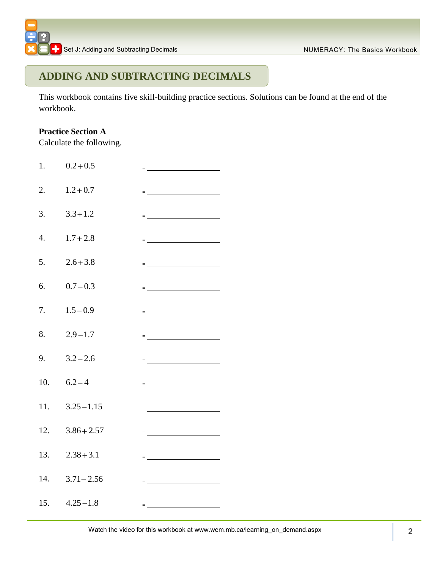

## **ADDING AND SUBTRACTING DECIMALS**

This workbook contains five skill-building practice sections. Solutions can be found at the end of the workbook.

#### **Practice Section A**

Calculate the following.

| 1.               | $0.2 + 0.5$             | man and the state of the state of the                                                                                                                                                                                                                                                                                                                                                                                                 |  |
|------------------|-------------------------|---------------------------------------------------------------------------------------------------------------------------------------------------------------------------------------------------------------------------------------------------------------------------------------------------------------------------------------------------------------------------------------------------------------------------------------|--|
| 2.               | $1.2 + 0.7$             | $\equiv$ 100 km s and 100 km s and 100 km s $\sim$                                                                                                                                                                                                                                                                                                                                                                                    |  |
| 3.               | $3.3 + 1.2$             | $\equiv$ 100 minutes of the state of the state $\sim$                                                                                                                                                                                                                                                                                                                                                                                 |  |
| $\overline{4}$ . | $1.7 + 2.8$             | = <u>_______________________</u>                                                                                                                                                                                                                                                                                                                                                                                                      |  |
| 5.               | $2.6 + 3.8$             | = <u>__________________________</u> _                                                                                                                                                                                                                                                                                                                                                                                                 |  |
| 6.               | $0.7 - 0.3$             | $=\underbrace{ \qquad \qquad }_{\quad \  \  \, \cdots \qquad \  \  \, \cdots \qquad \  \  \, }_{\quad \  \  \, \cdots \qquad \  \  \, \cdots \qquad \  \  \, }_{\quad \  \  \, \cdots \qquad \  \  \, }_{\quad \  \  \, \cdots \qquad \  \  \, }_{\quad \  \  \, \cdots \qquad \  \  \, }_{\quad \  \  \, \cdots \qquad \  \  \, }_{\quad \  \  \, \cdots \qquad \  \  \, }_{\quad \  \  \, \cdots \qquad \  \  \, }_{\quad \  \  \,$ |  |
| 7.               | $1.5 - 0.9$             | = <u>_____________________</u>                                                                                                                                                                                                                                                                                                                                                                                                        |  |
|                  | 8. $2.9-1.7$            | = <u>______________________</u>                                                                                                                                                                                                                                                                                                                                                                                                       |  |
|                  | 9. $3.2 - 2.6$          | = <u>________________________</u>                                                                                                                                                                                                                                                                                                                                                                                                     |  |
| 10.              | $6.2 - 4$               | = <u>_______________________</u> _                                                                                                                                                                                                                                                                                                                                                                                                    |  |
| 11.              | $3.25 - 1.15$           |                                                                                                                                                                                                                                                                                                                                                                                                                                       |  |
| 12.              | $3.86 + 2.57$           | = <u>________________________</u>                                                                                                                                                                                                                                                                                                                                                                                                     |  |
|                  | $13. \qquad 2.38 + 3.1$ | $\equiv$ 100 minutes of the state of the state                                                                                                                                                                                                                                                                                                                                                                                        |  |
|                  | $14. 3.71 - 2.56$       | $=$ $-$                                                                                                                                                                                                                                                                                                                                                                                                                               |  |
|                  | $15. \quad 4.25 - 1.8$  | = <u>________________________</u>                                                                                                                                                                                                                                                                                                                                                                                                     |  |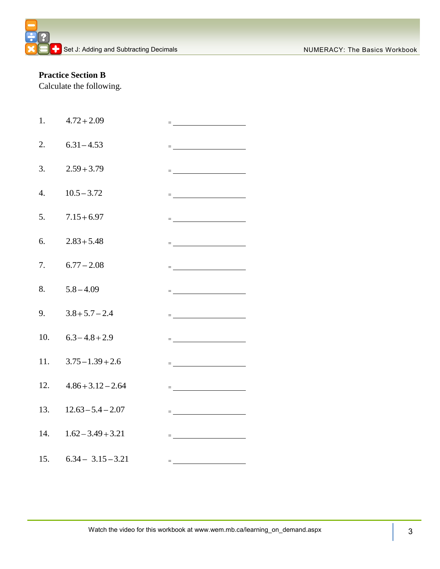#### **Practice Section B**

Calculate the following.

| 1.               | $4.72 + 2.09$            | $=\underbrace{\qquad \qquad }_{\qquad \qquad }=\underbrace{\qquad \qquad }_{\qquad \qquad }+\underbrace{\qquad \qquad }_{\qquad \qquad }+\underbrace{\qquad \qquad }_{\qquad \qquad }+\underbrace{\qquad \qquad }_{\qquad \qquad }+\underbrace{\qquad \qquad }_{\qquad \qquad }+\underbrace{\qquad \qquad }_{\qquad \qquad }+\underbrace{\qquad \qquad }_{\qquad \qquad }+\underbrace{\qquad \qquad }_{\qquad \qquad }+\underbrace{\qquad \qquad }_{\qquad \qquad }+\underbrace{\qquad \qquad }_{\qquad \qquad }+\underbrace{\qquad \qquad }_{\qquad \qquad }+\underbrace{\$ |
|------------------|--------------------------|------------------------------------------------------------------------------------------------------------------------------------------------------------------------------------------------------------------------------------------------------------------------------------------------------------------------------------------------------------------------------------------------------------------------------------------------------------------------------------------------------------------------------------------------------------------------------|
| 2.               | $6.31 - 4.53$            | = <u>______________________</u>                                                                                                                                                                                                                                                                                                                                                                                                                                                                                                                                              |
| 3.               | $2.59 + 3.79$            | $=\underbrace{\qquad \qquad }_{\qquad \qquad }=\underbrace{\qquad \qquad }_{\qquad \qquad }=\underbrace{\qquad \qquad }_{\qquad \qquad }$                                                                                                                                                                                                                                                                                                                                                                                                                                    |
| $\overline{4}$ . | $10.5 - 3.72$            | = <u>______________________</u>                                                                                                                                                                                                                                                                                                                                                                                                                                                                                                                                              |
| 5.               | $7.15 + 6.97$            | = <u>_________________________</u>                                                                                                                                                                                                                                                                                                                                                                                                                                                                                                                                           |
| 6.               | $2.83 + 5.48$            | $=\underbrace{\hspace{2.5cm}}_{\rule{2.2cm}{0.2cm} \hspace{2.5cm} \hspace{2.5cm} \hspace{2.5cm} }=\underbrace{\hspace{2.5cm}}_{\rule{2.2cm}{0.2cm} \hspace{2.5cm} \hspace{2.5cm} }$                                                                                                                                                                                                                                                                                                                                                                                          |
| 7.               | $6.77 - 2.08$            | $=$ <u>_ _ _ _ _ _ _ _ _ _</u>                                                                                                                                                                                                                                                                                                                                                                                                                                                                                                                                               |
| 8.               | $5.8 - 4.09$             | $=\underbrace{\qquad \qquad }_{\qquad \qquad }=\underbrace{\qquad \qquad }_{\qquad \qquad }=\underbrace{\qquad \qquad }_{\qquad \qquad }=\underbrace{\qquad \qquad }_{\qquad \qquad }=\underbrace{\qquad \qquad }_{\qquad \qquad }=\underbrace{\qquad \qquad }_{\qquad \qquad }=\underbrace{\qquad \qquad }_{\qquad \qquad }=\underbrace{\qquad \qquad }_{\qquad \qquad }=\underbrace{\qquad \qquad }_{\qquad \qquad }=\underbrace{\qquad \qquad }_{\qquad \qquad }=\underbrace{\qquad \qquad }_{\qquad \qquad }=\underbrace{\qquad \qquad }_{\qquad \qquad }=\underbrace{\$ |
| 9.               | $3.8 + 5.7 - 2.4$        | = <u>______________________</u>                                                                                                                                                                                                                                                                                                                                                                                                                                                                                                                                              |
| 10.              | $6.3 - 4.8 + 2.9$        | = <u>______________________</u>                                                                                                                                                                                                                                                                                                                                                                                                                                                                                                                                              |
| 11.              | $3.75 - 1.39 + 2.6$      | $=\underbrace{\qquad \qquad }_{\qquad \qquad }=\underbrace{\qquad \qquad }_{\qquad \qquad }=\underbrace{\qquad \qquad }_{\qquad \qquad }=\underbrace{\qquad \qquad }_{\qquad \qquad }=\underbrace{\qquad \qquad }_{\qquad \qquad }=\underbrace{\qquad \qquad }_{\qquad \qquad }=\underbrace{\qquad \qquad }_{\qquad \qquad }=\underbrace{\qquad \qquad }_{\qquad \qquad }=\underbrace{\qquad \qquad }_{\qquad \qquad }=\underbrace{\qquad \qquad }_{\qquad \qquad }=\underbrace{\qquad \qquad }_{\qquad \qquad }=\underbrace{\qquad \qquad }_{\qquad \qquad }=\underbrace{\$ |
|                  | 12. $4.86 + 3.12 - 2.64$ | $\equiv$ 100 km s $\sim$ 100 km s $\sim$ 100 km s $\sim$                                                                                                                                                                                                                                                                                                                                                                                                                                                                                                                     |
|                  | 13. $12.63 - 5.4 - 2.07$ | $=\underbrace{\qquad \qquad }_{\qquad \qquad }=\underbrace{\qquad \qquad }_{\qquad \qquad }+\left( \begin{array}{ccccc } & \qquad & \qquad \\ \qquad & \qquad & \qquad \\ \qquad & \qquad & \qquad \\ \qquad & \qquad & \qquad \\ \qquad & \qquad & \qquad \\ \qquad & \qquad & \qquad \\ \qquad & \qquad & \qquad \\ \qquad & \qquad & \qquad \\ \qquad & \qquad & \qquad \\ \qquad & \qquad & \qquad \\ \qquad & \qquad & \qquad \\ \qquad & \qquad & \qquad \\ \qquad & \qquad & \qquad \\ \qquad & \qquad & \qquad \\ \qquad & \qquad &$                                 |
|                  | 14. $1.62 - 3.49 + 3.21$ | $=\underbrace{\qquad \qquad }_{\qquad \qquad }=\underbrace{\qquad \qquad }_{\qquad \qquad }=\underbrace{\qquad \qquad }_{\qquad \qquad }=\underbrace{\qquad \qquad }_{\qquad \qquad }=\underbrace{\qquad \qquad }_{\qquad \qquad }=\underbrace{\qquad \qquad }_{\qquad \qquad }=\underbrace{\qquad \qquad }_{\qquad \qquad }=\underbrace{\qquad \qquad }_{\qquad \qquad }=\underbrace{\qquad \qquad }_{\qquad \qquad }=\underbrace{\qquad \qquad }_{\qquad \qquad }=\underbrace{\qquad \qquad }_{\qquad \qquad }=\underbrace{\qquad \qquad }_{\qquad \qquad }=\underbrace{\$ |
|                  | $15. 6.34 - 3.15 - 3.21$ | $=\underbrace{\qquad \qquad }_{\qquad \qquad }=\underbrace{\qquad \qquad }_{\qquad \qquad }+\left( \begin{array}{ccccc }_{\qquad \qquad }&\qquad &\qquad \\[-1mm] \qquad \qquad &\qquad &\qquad \\[-1mm] \qquad \qquad &\qquad &\qquad \\[-1mm] \qquad \qquad &\qquad &\qquad \\[-1mm] \qquad \qquad &\qquad &\qquad \\[-1mm] \qquad \qquad &\qquad &\qquad \\[-1mm] \qquad \qquad &\qquad &\qquad \\[-1mm] \qquad \qquad &\qquad &\qquad \\[-1mm] \qquad \qquad &\qquad &\qquad \\[-1mm]$                                                                                   |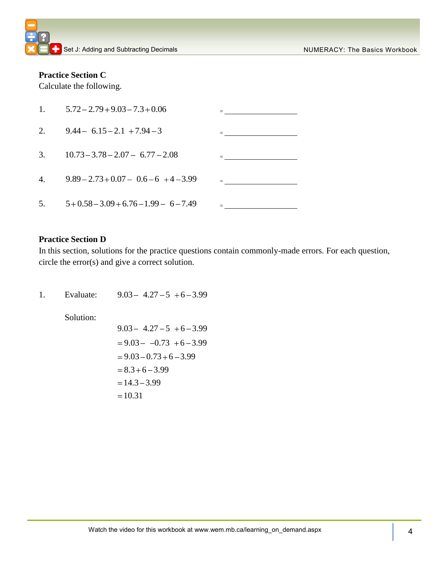#### **Practice Section C**

Calculate the following.

| 1. $5.72 - 2.79 + 9.03 - 7.3 + 0.06$         |                                 |
|----------------------------------------------|---------------------------------|
| 2. $9.44 - 6.15 - 2.1 + 7.94 - 3$            |                                 |
| 3. $10.73 - 3.78 - 2.07 - 6.77 - 2.08$       |                                 |
| 4. $9.89 - 2.73 + 0.07 - 0.6 - 6 + 4 - 3.99$ | the contract of the contract of |
| 5. $5+0.58-3.09+6.76-1.99-6-7.49$            |                                 |

#### **Practice Section D**

In this section, solutions for the practice questions contain commonly-made errors. For each question, circle the error(s) and give a correct solution.

| $1_{-}$ | Evaluate: | $9.03 - 4.27 - 5 + 6 - 3.99$ |
|---------|-----------|------------------------------|
|         | Solution: |                              |
|         |           | $9.03 - 4.27 - 5 + 6 - 3.99$ |
|         |           | $= 9.03 - -0.73 + 6 - 3.99$  |
|         |           | $= 9.03 - 0.73 + 6 - 3.99$   |
|         |           | $= 8.3 + 6 - 3.99$           |
|         |           | $= 14.3 - 3.99$              |
|         |           | $=10.31$                     |
|         |           |                              |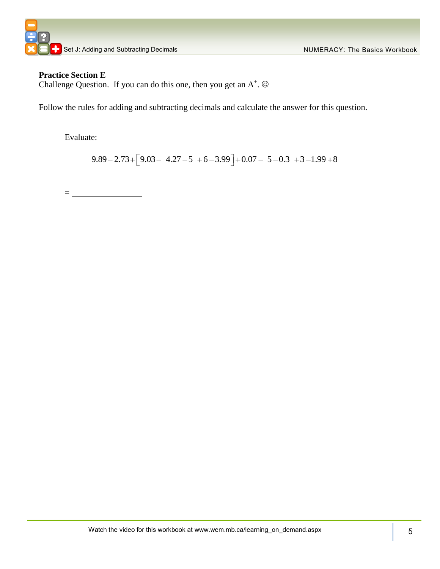

#### **Practice Section E**

Challenge Question. If you can do this one, then you get an  $A^+$ .  $\odot$ 

Follow the rules for adding and subtracting decimals and calculate the answer for this question.

Evaluate:

 $9.89 - 2.73 + [9.03 - 4.27 - 5 + 6 - 3.99] + 0.07 - 5 - 0.3 + 3 - 1.99 + 8$ 

=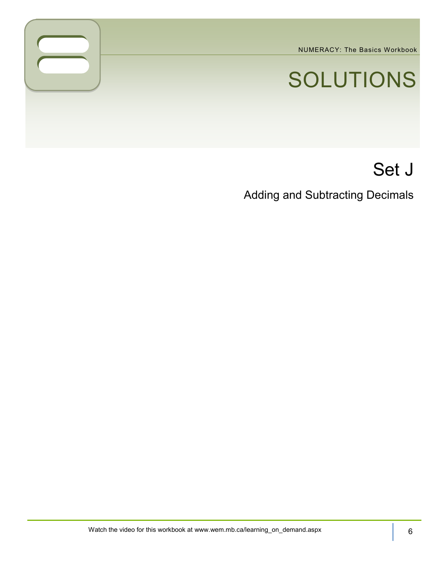# SOLUTIONS

## Set J

Adding and Subtracting Decimals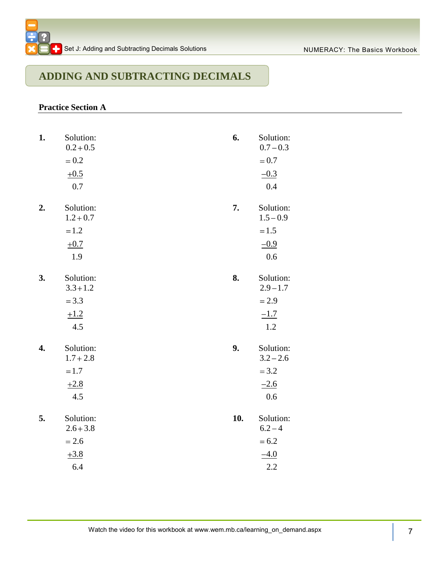## **ADDING AND SUBTRACTING DECIMALS**

#### **Practice Section A**

| 1. | Solution:<br>$0.2 + 0.5$<br>$= 0.2$<br>$+0.5$<br>0.7 | 6.  | Solution:<br>$0.7 - 0.3$<br>$= 0.7$<br>$-0.3$<br>0.4 |
|----|------------------------------------------------------|-----|------------------------------------------------------|
| 2. | Solution:<br>$1.2 + 0.7$<br>$=1.2$<br>$+0.7$<br>1.9  | 7.  | Solution:<br>$1.5 - 0.9$<br>$= 1.5$<br>$-0.9$<br>0.6 |
| 3. | Solution:<br>$3.3 + 1.2$<br>$= 3.3$<br>$+1.2$<br>4.5 | 8.  | Solution:<br>$2.9 - 1.7$<br>$= 2.9$<br>$-1.7$<br>1.2 |
| 4. | Solution:<br>$1.7 + 2.8$<br>$=1.7$<br>$+2.8$<br>4.5  | 9.  | Solution:<br>$3.2 - 2.6$<br>$= 3.2$<br>$-2.6$<br>0.6 |
| 5. | Solution:<br>$2.6 + 3.8$<br>$= 2.6$<br>$+3.8$<br>6.4 | 10. | Solution:<br>$6.2 - 4$<br>$= 6.2$<br>$-4.0$<br>2.2   |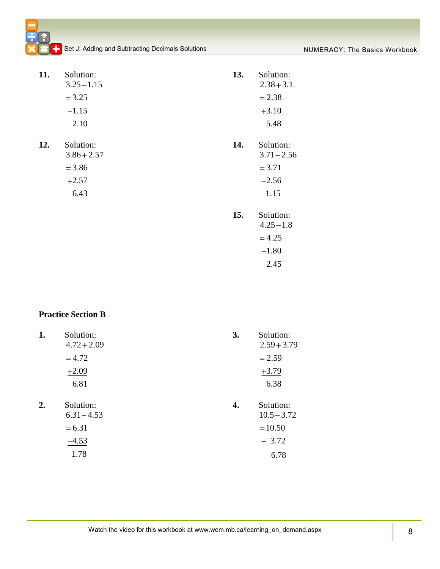|  |  |  | Set J: Adding and Subtracting Decimals Solutions |
|--|--|--|--------------------------------------------------|
|  |  |  |                                                  |

| 11. | Solution:<br>$3.25 - 1.15$<br>$= 3.25$                    | 13. | Solution:<br>$2.38 + 3.1$<br>$= 2.38$                     |
|-----|-----------------------------------------------------------|-----|-----------------------------------------------------------|
|     | $-1.15$<br>2.10                                           |     | $+3.10$<br>5.48                                           |
| 12. | Solution:<br>$3.86 + 2.57$<br>$= 3.86$<br>$+2.57$<br>6.43 | 14. | Solution:<br>$3.71 - 2.56$<br>$= 3.71$<br>$-2.56$<br>1.15 |
|     |                                                           | 15. | Solution:<br>$4.25 - 1.8$<br>$= 4.25$<br>$-1.80$<br>2.45  |

#### **Practice Section B**

| 1. | Solution:<br>$4.72 + 2.09$ | 3. | Solution:<br>$2.59 + 3.79$ |
|----|----------------------------|----|----------------------------|
|    | $= 4.72$                   |    | $= 2.59$                   |
|    | $+2.09$                    |    | $+3.79$                    |
|    | 6.81                       |    | 6.38                       |
|    |                            |    |                            |
| 2. | Solution:<br>$6.31 - 4.53$ | 4. | Solution:<br>$10.5 - 3.72$ |
|    | $= 6.31$                   |    | $=10.50$                   |
|    | $-4.53$                    |    | $-3.72$                    |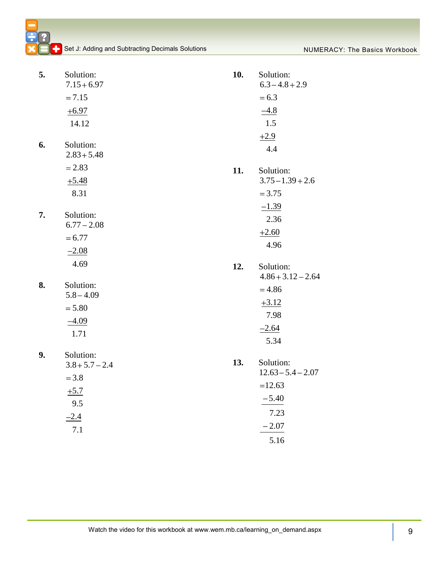**C**Set J: Adding and Subtracting Decimals Solutions NUMERACY: The Basics Workbook

| 5. | Solution:                  | 10. | Solution:                         |
|----|----------------------------|-----|-----------------------------------|
|    | $7.15 + 6.97$              |     | $6.3 - 4.8 + 2.9$                 |
|    | $= 7.15$                   |     | $= 6.3$                           |
|    | $+6.97$                    |     | $-4.8$                            |
|    | 14.12                      |     | 1.5                               |
|    |                            |     | $+2.9$                            |
| 6. | Solution:<br>$2.83 + 5.48$ |     | 4.4                               |
|    | $= 2.83$                   |     |                                   |
|    |                            | 11. | Solution:                         |
|    | $+5.48$                    |     | $3.75 - 1.39 + 2.6$               |
|    | 8.31                       |     | $= 3.75$                          |
| 7. | Solution:                  |     | $-1.39$                           |
|    | $6.77 - 2.08$              |     | 2.36                              |
|    | $= 6.77$                   |     | $+2.60$                           |
|    | $-2.08$                    |     | 4.96                              |
|    | 4.69                       |     |                                   |
|    |                            | 12. | Solution:                         |
| 8. | Solution:                  |     | $4.86 + 3.12 - 2.64$              |
|    | $5.8 - 4.09$               |     | $= 4.86$                          |
|    | $= 5.80$                   |     | $+3.12$                           |
|    | $-4.09$                    |     | 7.98                              |
|    | 1.71                       |     | $-2.64$                           |
|    |                            |     | 5.34                              |
| 9. | Solution:                  |     |                                   |
|    | $3.8 + 5.7 - 2.4$          | 13. | Solution:<br>$12.63 - 5.4 - 2.07$ |
|    | $= 3.8$                    |     | $=12.63$                          |
|    | $+5.7$                     |     |                                   |
|    | 9.5                        |     | $-5.40$                           |
|    | $-2.4$                     |     | 7.23                              |
|    | 7.1                        |     | $-2.07$                           |
|    |                            |     | 5.16                              |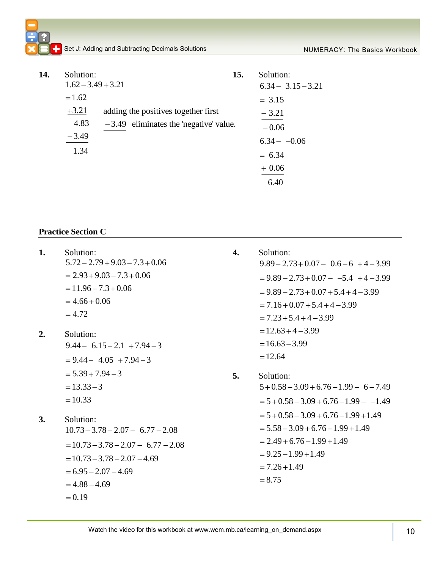| 14. | Solution:<br>$1.62 - 3.49 + 3.21$              | 15.                                                                             | Solution:<br>$6.34 - 3.15 - 3.21$                                       |
|-----|------------------------------------------------|---------------------------------------------------------------------------------|-------------------------------------------------------------------------|
|     | $= 1.62$<br>$+3.21$<br>4.83<br>$-3.49$<br>1.34 | adding the positives together first<br>$-3.49$ eliminates the 'negative' value. | $= 3.15$<br>$-3.21$<br>$-0.06$<br>$6.34 - -0.06$<br>$= 6.34$<br>$+0.06$ |
|     |                                                |                                                                                 | 6.40                                                                    |

#### **Practice Section C**

- **1.** Solution:  $5.72 - 2.79 + 9.03 - 7.3 + 0.06$  $= 2.93 + 9.03 - 7.3 + 0.06$  $= 11.96 - 7.3 + 0.06$  $= 4.66 + 0.06$  $= 4.72$
- **2.** Solution:  $9.44 - 6.15 - 2.1 + 7.94 - 3$  $= 9.44 - 4.05 + 7.94 - 3$  $= 5.39 + 7.94 - 3$  $= 13.33 - 3$  $=10.33$
- **3.** Solution:  $10.73 - 3.78 - 2.07 - 6.77 - 2.08$  $= 10.73 - 3.78 - 2.07 - 6.77 - 2.08$  $= 10.73 - 3.78 - 2.07 - 4.69$  $= 6.95 - 2.07 - 4.69$  $= 4.88 - 4.69$  $= 0.19$
- **4.** Solution:  $9.89 - 2.73 + 0.07 - 0.6 - 6 + 4 - 3.99$  $= 9.89 - 2.73 + 0.07 - -5.4 + 4 - 3.99$  $= 9.89 - 2.73 + 0.07 + 5.4 + 4 - 3.99$  $= 7.16 + 0.07 + 5.4 + 4 - 3.99$  $= 7.23 + 5.4 + 4 - 3.99$  $= 12.63 + 4 - 3.99$  $= 16.63 - 3.99$  $= 12.64$
- **5.** Solution:  $5 + 0.58 - 3.09 + 6.76 - 1.99 - 6 - 7.49$  $= 5 + 0.58 - 3.09 + 6.76 - 1.99 - -1.49$  $= 5 + 0.58 - 3.09 + 6.76 - 1.99 + 1.49$  $= 5.58 - 3.09 + 6.76 - 1.99 + 1.49$  $= 2.49 + 6.76 - 1.99 + 1.49$  $= 9.25 - 1.99 + 1.49$  $= 7.26 + 1.49$  $= 8.75$